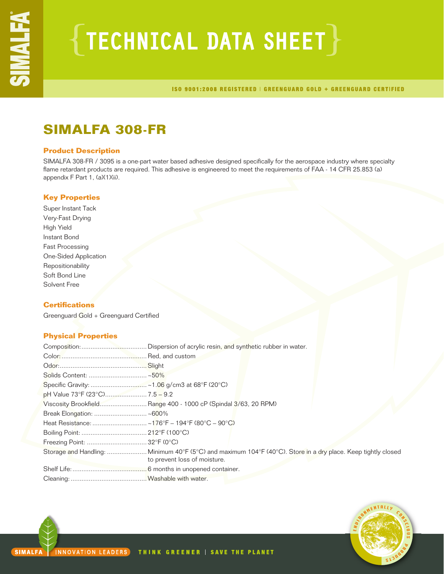# $\{$  TECHNICAL DATA SHEET $\}$

ISO 9001:2008 REGISTERED | GREENGUARD GOLD + GREENGUARD CERTIFIED

## **SIMALFA 308-FR**

## **Product Description**

SIMALFA 308-FR / 3095 is a one-part water based adhesive designed specifically for the aerospace industry where specialty flame retardant products are required. This adhesive is engineered to meet the requirements of FAA - 14 CFR 25.853 (a) appendix F Part 1, (a)(1)(ii).

## **Key Properties**

Super Instant Tack Very-Fast Drying High Yield Instant Bond Fast Processing One-Sided Application Repositionability Soft Bond Line Solvent Free

## **Certifications**

Greenguard Gold + Greenguard Certified

## **Physical Properties**

| Viscosity Brookfield Range 400 - 1000 cP (Spindal 3/63, 20 RPM)                                                                              |  |
|----------------------------------------------------------------------------------------------------------------------------------------------|--|
|                                                                                                                                              |  |
|                                                                                                                                              |  |
|                                                                                                                                              |  |
|                                                                                                                                              |  |
| Storage and Handling: Minimum 40°F (5°C) and maximum 104°F (40°C). Store in a dry place. Keep tightly closed<br>to prevent loss of moisture. |  |
|                                                                                                                                              |  |
|                                                                                                                                              |  |

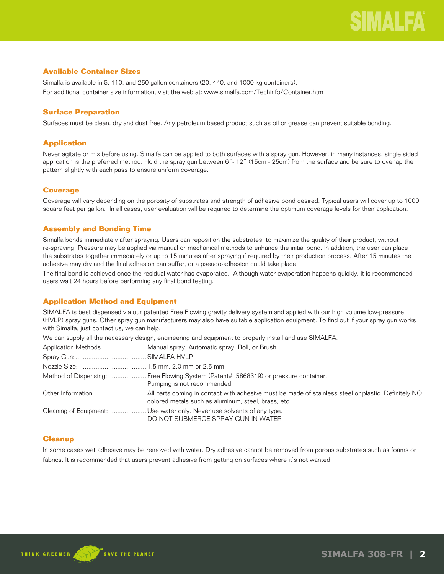## **Available Container Sizes**

Simalfa is available in 5, 110, and 250 gallon containers (20, 440, and 1000 kg containers). For additional container size information, visit the web at: www.simalfa.com/Techinfo/Container.htm

## **Surface Preparation**

Surfaces must be clean, dry and dust free. Any petroleum based product such as oil or grease can prevent suitable bonding.

## **Application**

Never agitate or mix before using. Simalfa can be applied to both surfaces with a spray gun. However, in many instances, single sided application is the preferred method. Hold the spray gun between 6"- 12" (15cm - 25cm) from the surface and be sure to overlap the pattern slightly with each pass to ensure uniform coverage.

## **Coverage**

Coverage will vary depending on the porosity of substrates and strength of adhesive bond desired. Typical users will cover up to 1000 square feet per gallon. In all cases, user evaluation will be required to determine the optimum coverage levels for their application.

## **Assembly and Bonding Time**

Simalfa bonds immediately after spraying. Users can reposition the substrates, to maximize the quality of their product, without re-spraying. Pressure may be applied via manual or mechanical methods to enhance the initial bond. In addition, the user can place the substrates together immediately or up to 15 minutes after spraying if required by their production process. After 15 minutes the adhesive may dry and the final adhesion can suffer, or a pseudo-adhesion could take place.

The final bond is achieved once the residual water has evaporated. Although water evaporation happens quickly, it is recommended users wait 24 hours before performing any final bond testing.

## **Application Method and Equipment**

SIMALFA is best dispensed via our patented Free Flowing gravity delivery system and applied with our high volume low-pressure (HVLP) spray guns. Other spray gun manufacturers may also have suitable application equipment. To find out if your spray gun works with Simalfa, just contact us, we can help.

We can supply all the necessary design, engineering and equipment to properly install and use SIMALFA.

| Method of Dispensing:  Free Flowing System (Patent#: 5868319) or pressure container.<br>Pumping is not recommended |
|--------------------------------------------------------------------------------------------------------------------|
| colored metals such as aluminum, steel, brass, etc.                                                                |
| Cleaning of Equipment: Use water only. Never use solvents of any type.<br>DO NOT SUBMERGE SPRAY GUN IN WATER       |

## **Cleanup**

In some cases wet adhesive may be removed with water. Dry adhesive cannot be removed from porous substrates such as foams or fabrics. It is recommended that users prevent adhesive from getting on surfaces where it's not wanted.

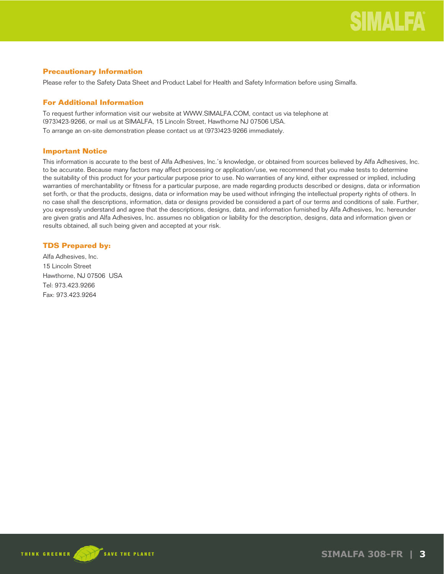## **Precautionary Information**

Please refer to the Safety Data Sheet and Product Label for Health and Safety Information before using Simalfa.

## **For Additional Information**

To request further information visit our website at WWW.SIMALFA.COM, contact us via telephone at (973)423-9266, or mail us at SIMALFA, 15 Lincoln Street, Hawthorne NJ 07506 USA.

To arrange an on-site demonstration please contact us at (973)423-9266 immediately.

## **Important Notice**

This information is accurate to the best of Alfa Adhesives, Inc.'s knowledge, or obtained from sources believed by Alfa Adhesives, Inc. to be accurate. Because many factors may affect processing or application/use, we recommend that you make tests to determine the suitability of this product for your particular purpose prior to use. No warranties of any kind, either expressed or implied, including warranties of merchantability or fitness for a particular purpose, are made regarding products described or designs, data or information set forth, or that the products, designs, data or information may be used without infringing the intellectual property rights of others. In no case shall the descriptions, information, data or designs provided be considered a part of our terms and conditions of sale. Further, you expressly understand and agree that the descriptions, designs, data, and information furnished by Alfa Adhesives, Inc. hereunder are given gratis and Alfa Adhesives, Inc. assumes no obligation or liability for the description, designs, data and information given or results obtained, all such being given and accepted at your risk.

## **TDS Prepared by:**

Alfa Adhesives, Inc. 15 Lincoln Street Hawthorne, NJ 07506 USA Tel: 973.423.9266 Fax: 973.423.9264

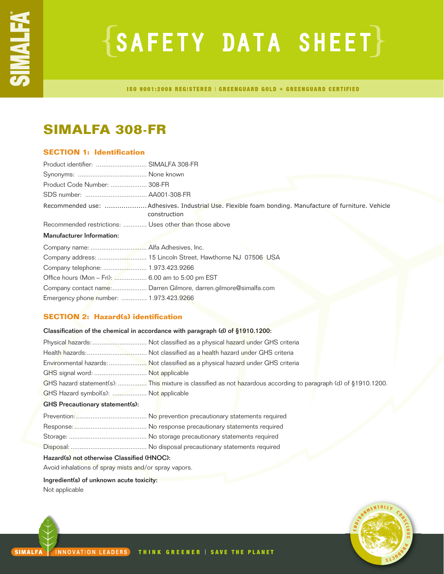# $\{SAFFITY$  DATA SHEET $\}$

ISO 9001:2008 REGISTERED | GREENGUARD GOLD + GREENGUARD CERTIFIED

## **SIMALFA 308-FR**

## **SECTION 1: Identification**

| Product identifier:  SIMALFA 308-FR                    |                                                                                                                      |
|--------------------------------------------------------|----------------------------------------------------------------------------------------------------------------------|
|                                                        |                                                                                                                      |
| Product Code Number:  308-FR                           |                                                                                                                      |
|                                                        |                                                                                                                      |
|                                                        | Recommended use: Adhesives. Industrial Use. Flexible foam bonding. Manufacture of furniture. Vehicle<br>construction |
| Recommended restrictions:  Uses other than those above |                                                                                                                      |
| Manufacturer Information:                              |                                                                                                                      |
|                                                        |                                                                                                                      |
|                                                        |                                                                                                                      |
|                                                        |                                                                                                                      |
| Office hours (Mon - Fri):  6.00 am to 5:00 pm EST      |                                                                                                                      |
|                                                        | Company contact name: Darren Gilmore, darren.gilmore@simalfa.com                                                     |
| Emergency phone number:  1.973.423.9266                |                                                                                                                      |

## **SECTION 2: Hazard(s) identification**

|                                        | Classification of the chemical in accordance with paragraph (d) of §1910.1200:                                  |
|----------------------------------------|-----------------------------------------------------------------------------------------------------------------|
|                                        |                                                                                                                 |
|                                        |                                                                                                                 |
|                                        | Environmental hazards: Not classified as a physical hazard under GHS criteria                                   |
| GHS signal word:  Not applicable       |                                                                                                                 |
|                                        | GHS hazard statement(s):  This mixture is classified as not hazardous according to paragraph (d) of §1910.1200. |
| GHS Hazard symbol(s):  Not applicable  |                                                                                                                 |
| <b>GHS Precautionary statement(s):</b> |                                                                                                                 |
|                                        |                                                                                                                 |
|                                        |                                                                                                                 |
|                                        |                                                                                                                 |
|                                        |                                                                                                                 |
|                                        |                                                                                                                 |

## Hazard(s) not otherwise Classified (HNOC):

Avoid inhalations of spray mists and/or spray vapors.

## Ingredient(s) of unknown acute toxicity:

Not applicable

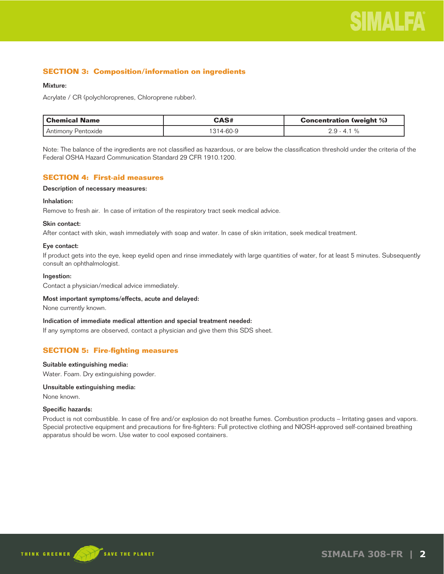## **SECTION 3: Composition/information on ingredients**

## Mixture:

Acrylate / CR (polychloroprenes, Chloroprene rubber).

| l Chemical Name    | CAS#     | <b>Concentration (weight %)</b> |
|--------------------|----------|---------------------------------|
| Antimony Pentoxide | 314-60-9 | $2.9 - 4.1$                     |

Note: The balance of the ingredients are not classified as hazardous, or are below the classification threshold under the criteria of the Federal OSHA Hazard Communication Standard 29 CFR 1910.1200.

## **SECTION 4: First-aid measures**

Description of necessary measures:

## Inhalation:

Remove to fresh air. In case of irritation of the respiratory tract seek medical advice.

## Skin contact:

After contact with skin, wash immediately with soap and water. In case of skin irritation, seek medical treatment.

## Eye contact:

If product gets into the eye, keep eyelid open and rinse immediately with large quantities of water, for at least 5 minutes. Subsequently consult an ophthalmologist.

## Ingestion:

Contact a physician/medical advice immediately.

#### Most important symptoms/effects, acute and delayed:

None currently known.

#### Indication of immediate medical attention and special treatment needed:

If any symptoms are observed, contact a physician and give them this SDS sheet.

## **SECTION 5: Fire-fighting measures**

#### Suitable extinguishing media:

Water. Foam. Dry extinguishing powder.

## Unsuitable extinguishing media:

None known.

#### Specific hazards:

Product is not combustible. In case of fire and/or explosion do not breathe fumes. Combustion products – Irritating gases and vapors. Special protective equipment and precautions for fire-fighters: Full protective clothing and NIOSH-approved self-contained breathing apparatus should be worn. Use water to cool exposed containers.

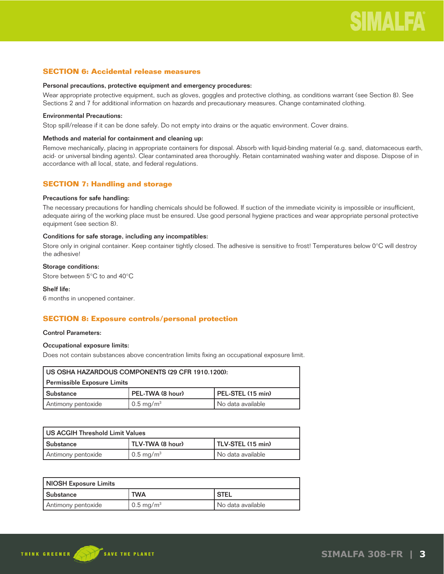## **SECTION 6: Accidental release measures**

#### Personal precautions, protective equipment and emergency procedures:

Wear appropriate protective equipment, such as gloves, goggles and protective clothing, as conditions warrant (see Section 8). See Sections 2 and 7 for additional information on hazards and precautionary measures. Change contaminated clothing.

## Environmental Precautions:

Stop spill/release if it can be done safely. Do not empty into drains or the aquatic environment. Cover drains.

## Methods and material for containment and cleaning up:

Remove mechanically, placing in appropriate containers for disposal. Absorb with liquid-binding material (e.g. sand, diatomaceous earth, acid- or universal binding agents). Clear contaminated area thoroughly. Retain contaminated washing water and dispose. Dispose of in accordance with all local, state, and federal regulations.

## **SECTION 7: Handling and storage**

#### Precautions for safe handling:

The necessary precautions for handling chemicals should be followed. If suction of the immediate vicinity is impossible or insufficient, adequate airing of the working place must be ensured. Use good personal hygiene practices and wear appropriate personal protective equipment (see section 8).

#### Conditions for safe storage, including any incompatibles:

Store only in original container. Keep container tightly closed. The adhesive is sensitive to frost! Temperatures below 0°C will destroy the adhesive!

## Storage conditions:

Store between 5°C to and 40°C

## Shelf life:

6 months in unopened container.

## **SECTION 8: Exposure controls/personal protection**

#### Control Parameters:

## Occupational exposure limits:

Does not contain substances above concentration limits fixing an occupational exposure limit.

| I US OSHA HAZARDOUS COMPONENTS (29 CFR 1910.1200):        |                                |                     |  |
|-----------------------------------------------------------|--------------------------------|---------------------|--|
| Permissible Exposure Limits                               |                                |                     |  |
| PEL-TWA (8 hour)<br>PEL-STEL (15 min)<br><b>Substance</b> |                                |                     |  |
| Antimony pentoxide                                        | $\sqrt{0.5}$ mg/m <sup>3</sup> | l No data available |  |

| US ACGIH Threshold Limit Values |                              |                   |
|---------------------------------|------------------------------|-------------------|
| l Substance                     | TLV-TWA (8 hour)             | TLV-STEL (15 min) |
| Antimony pentoxide              | $\sim$ 0.5 mg/m <sup>3</sup> | No data available |

| NIOSH Exposure Limits |                      |                   |
|-----------------------|----------------------|-------------------|
| l Substance           | <b>TWA</b>           | <b>STEL</b>       |
| Antimony pentoxide    | $\sim$ 0.5 mg/m $^3$ | No data available |

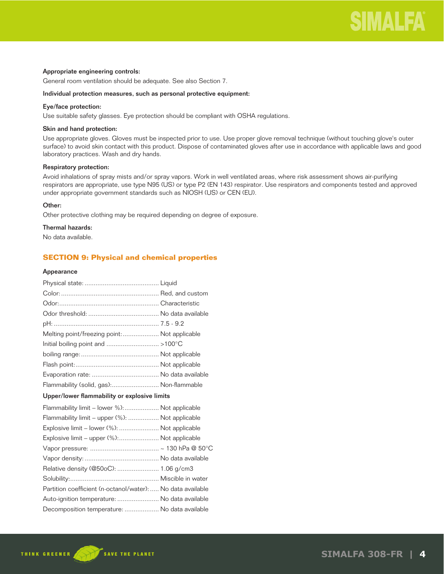## Appropriate engineering controls:

General room ventilation should be adequate. See also Section 7.

#### Individual protection measures, such as personal protective equipment:

## Eye/face protection:

Use suitable safety glasses. Eye protection should be compliant with OSHA regulations.

#### Skin and hand protection:

Use appropriate gloves. Gloves must be inspected prior to use. Use proper glove removal technique (without touching glove's outer surface) to avoid skin contact with this product. Dispose of contaminated gloves after use in accordance with applicable laws and good laboratory practices. Wash and dry hands.

## Respiratory protection:

Avoid inhalations of spray mists and/or spray vapors. Work in well ventilated areas, where risk assessment shows air-purifying respirators are appropriate, use type N95 (US) or type P2 (EN 143) respirator. Use respirators and components tested and approved under appropriate government standards such as NIOSH (US) or CEN (EU).

## Other:

Other protective clothing may be required depending on degree of exposure.

## Thermal hazards:

No data available.

## **SECTION 9: Physical and chemical properties**

#### Appearance

| Melting point/freezing point: Not applicable               |  |
|------------------------------------------------------------|--|
| Initial boiling point and >100°C                           |  |
|                                                            |  |
|                                                            |  |
|                                                            |  |
| Flammability (solid, gas): Non-flammable                   |  |
| Upper/lower flammability or explosive limits               |  |
| Flammability limit - lower %): Not applicable              |  |
| Flammability limit - upper (%):  Not applicable            |  |
| Explosive limit - lower (%):  Not applicable               |  |
| Explosive limit - upper (%): Not applicable                |  |
|                                                            |  |
|                                                            |  |
| Relative density (@50oC):  1.06 g/cm3                      |  |
|                                                            |  |
| Partition coefficient (n-octanol/water): No data available |  |
| Auto-ignition temperature:  No data available              |  |
| Decomposition temperature:  No data available              |  |
|                                                            |  |

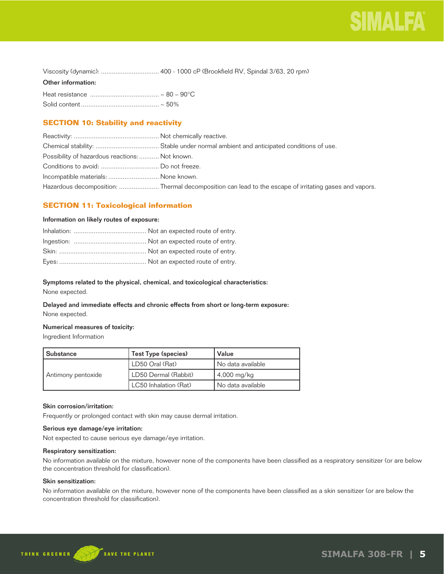

| Viscosity (dynamic):  400 - 1000 cP (Brookfield RV, Spindal 3/63, 20 rpm) |  |  |
|---------------------------------------------------------------------------|--|--|
|---------------------------------------------------------------------------|--|--|

### Other information:

## **SECTION 10: Stability and reactivity**

| Possibility of hazardous reactions:  Not known. |                                                                                                       |
|-------------------------------------------------|-------------------------------------------------------------------------------------------------------|
|                                                 |                                                                                                       |
| Incompatible materials:  None known.            |                                                                                                       |
|                                                 | Hazardous decomposition: Thermal decomposition can lead to the escape of irritating gases and vapors. |

## **SECTION 11: Toxicological information**

## Information on likely routes of exposure:

## Symptoms related to the physical, chemical, and toxicological characteristics:

None expected.

## Delayed and immediate effects and chronic effects from short or long-term exposure: None expected.

## Numerical measures of toxicity:

Ingredient Information

| l Substance        | Test Type (species)   | Value               |
|--------------------|-----------------------|---------------------|
|                    | LD50 Oral (Rat)       | No data available   |
| Antimony pentoxide | LD50 Dermal (Rabbit)  | $4,000$ mg/kg       |
|                    | LC50 Inhalation (Rat) | l No data available |

## Skin corrosion/irritation:

Frequently or prolonged contact with skin may cause dermal irritation.

## Serious eye damage/eye irritation:

Not expected to cause serious eye damage/eye irritation.

## Respiratory sensitization:

No information available on the mixture, however none of the components have been classified as a respiratory sensitizer (or are below the concentration threshold for classification).

## Skin sensitization:

No information available on the mixture, however none of the components have been classified as a skin sensitizer (or are below the concentration threshold for classification).

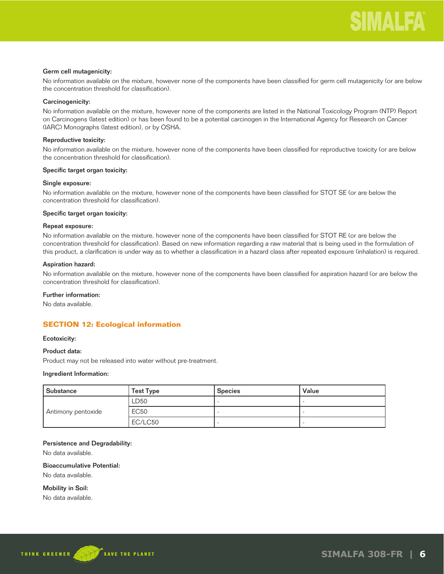## Germ cell mutagenicity:

No information available on the mixture, however none of the components have been classified for germ cell mutagenicity (or are below the concentration threshold for classification).

## Carcinogenicity:

No information available on the mixture, however none of the components are listed in the National Toxicology Program (NTP) Report on Carcinogens (latest edition) or has been found to be a potential carcinogen in the International Agency for Research on Cancer (IARC) Monographs (latest edition), or by OSHA.

## Reproductive toxicity:

No information available on the mixture, however none of the components have been classified for reproductive toxicity (or are below the concentration threshold for classification).

#### Specific target organ toxicity:

#### Single exposure:

No information available on the mixture, however none of the components have been classified for STOT SE (or are below the concentration threshold for classification).

#### Specific target organ toxicity:

## Repeat exposure:

No information available on the mixture, however none of the components have been classified for STOT RE (or are below the concentration threshold for classification). Based on new information regarding a raw material that is being used in the formulation of this product, a clarification is under way as to whether a classification in a hazard class after repeated exposure (inhalation) is required.

## Aspiration hazard:

No information available on the mixture, however none of the components have been classified for aspiration hazard (or are below the concentration threshold for classification).

## Further information:

No data available.

## **SECTION 12: Ecological information**

#### Ecotoxicity:

### Product data:

Product may not be released into water without pre-treatment.

#### Ingredient Information:

| Substance          | <b>Test Type</b> | <b>Species</b> | Value |
|--------------------|------------------|----------------|-------|
|                    | LD50             |                |       |
| Antimony pentoxide | <b>EC50</b>      |                |       |
|                    | EC/LC50          |                |       |

#### Persistence and Degradability:

No data available.

## Bioaccumulative Potential:

No data available.

Mobility in Soil:

No data available.

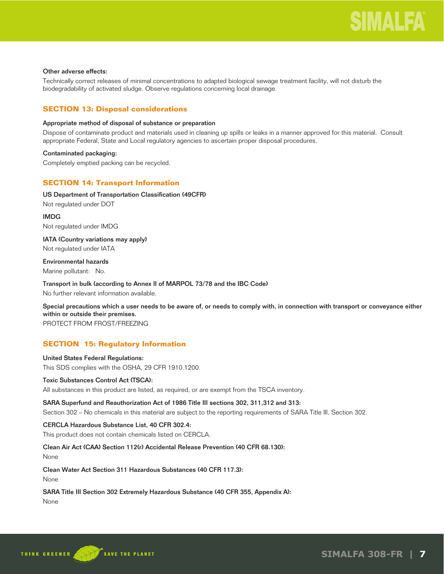## Other adverse effects:

Technically correct releases of minimal concentrations to adapted biological sewage treatment facility, will not disturb the biodegradability of activated sludge. Observe regulations concerning local drainage.

## **SECTION 13: Disposal considerations**

## Appropriate method of disposal of substance or preparation

Dispose of contaminate product and materials used in cleaning up spills or leaks in a manner approved for this material. Consult appropriate Federal, State and Local regulatory agencies to ascertain proper disposal procedures.

## Contaminated packaging:

Completely emptied packing can be recycled.

## **SECTION 14: Transport Information**

## US Department of Transportation Classification (49CFR)

Not regulated under DOT

IMDG Not regulated under IMDG

IATA (Country variations may apply) Not regulated under IATA

Environmental hazards Marine pollutant: No.

Transport in bulk (according to Annex II of MARPOL 73/78 and the IBC Code) No further relevant information available.

Special precautions which a user needs to be aware of, or needs to comply with, in connection with transport or conveyance either within or outside their premises.

PROTECT FROM FROST/FREEZING

## **SECTION 15: Regulatory Information**

## United States Federal Regulations: This SDS complies with the OSHA, 29 CFR 1910.1200.

## Toxic Substances Control Act (TSCA):

All substances in this product are listed, as required, or are exempt from the TSCA inventory.

## SARA Superfund and Reauthorization Act of 1986 Title III sections 302, 311,312 and 313:

Section 302 – No chemicals in this material are subject to the reporting requirements of SARA Title III, Section 302.

## CERCLA Hazardous Substance List, 40 CFR 302.4:

This product does not contain chemicals listed on CERCLA.

## Clean Air Act (CAA) Section 112(r) Accidental Release Prevention (40 CFR 68.130):

None

Clean Water Act Section 311 Hazardous Substances (40 CFR 117.3):

None

## SARA Title III Section 302 Extremely Hazardous Substance (40 CFR 355, Appendix A):

None

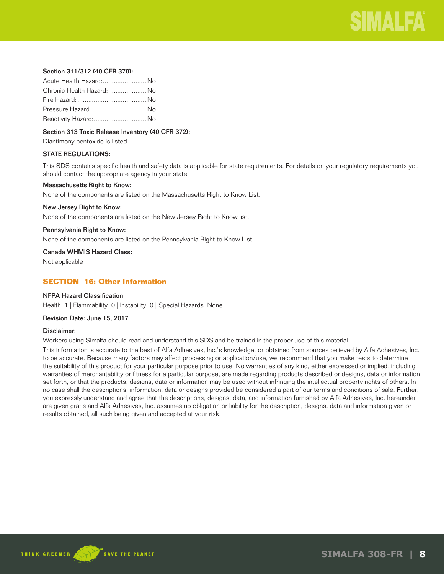

## Section 311/312 (40 CFR 370):

| Acute Health Hazard: No   |  |
|---------------------------|--|
| Chronic Health Hazard: No |  |
|                           |  |
| Pressure Hazard:  No      |  |
| Reactivity Hazard: No     |  |

## Section 313 Toxic Release Inventory (40 CFR 372):

Diantimony pentoxide is listed

## STATE REGULATIONS:

This SDS contains specific health and safety data is applicable for state requirements. For details on your regulatory requirements you should contact the appropriate agency in your state.

#### Massachusetts Right to Know:

None of the components are listed on the Massachusetts Right to Know List.

#### New Jersey Right to Know:

None of the components are listed on the New Jersey Right to Know list.

#### Pennsylvania Right to Know:

None of the components are listed on the Pennsylvania Right to Know List.

Canada WHMIS Hazard Class:

Not applicable

## **SECTION 16: Other Information**

## NFPA Hazard Classification

Health: 1 | Flammability: 0 | Instability: 0 | Special Hazards: None

#### Revision Date: June 15, 2017

#### Disclaimer:

Workers using Simalfa should read and understand this SDS and be trained in the proper use of this material.

This information is accurate to the best of Alfa Adhesives, Inc.'s knowledge, or obtained from sources believed by Alfa Adhesives, Inc. to be accurate. Because many factors may affect processing or application/use, we recommend that you make tests to determine the suitability of this product for your particular purpose prior to use. No warranties of any kind, either expressed or implied, including warranties of merchantability or fitness for a particular purpose, are made regarding products described or designs, data or information set forth, or that the products, designs, data or information may be used without infringing the intellectual property rights of others. In no case shall the descriptions, information, data or designs provided be considered a part of our terms and conditions of sale. Further, you expressly understand and agree that the descriptions, designs, data, and information furnished by Alfa Adhesives, Inc. hereunder are given gratis and Alfa Adhesives, Inc. assumes no obligation or liability for the description, designs, data and information given or results obtained, all such being given and accepted at your risk.

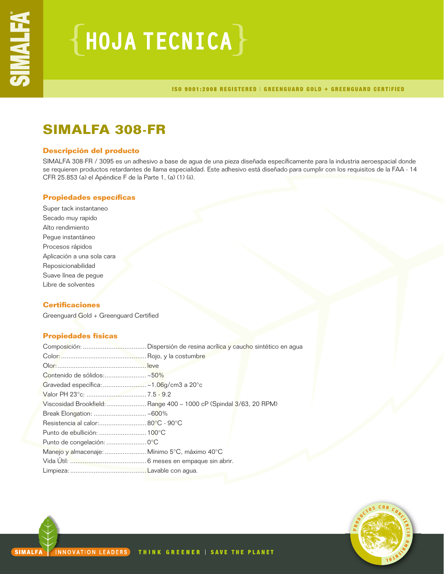# ${H0JATECNICA}$

ISO 9001:2008 REGISTERED | GREENGUARD GOLD + GREENGUARD CERTIFIED

## **SIMALFA 308-FR**

## **Descripción del producto**

SIMALFA 308-FR / 3095 es un adhesivo a base de agua de una pieza diseñada específicamente para la industria aeroespacial donde se requieren productos retardantes de llama especialidad. Este adhesivo está diseñado para cumplir con los requisitos de la FAA - 14 CFR 25.853 (a) el Apéndice F de la Parte 1, (a) (1) (ii).

## **Propiedades específicas**

Super tack instantaneo Secado muy rapido Alto rendimiento Pegue instantáneo Procesos rápidos Aplicación a una sola cara Reposicionabilidad Suave línea de pegue Libre de solventes

## **Certificaciones**

Greenguard Gold + Greenguard Certified

## **Propiedades físicas**

| Contenido de sólidos:~50%                     |                                                                    |  |
|-----------------------------------------------|--------------------------------------------------------------------|--|
|                                               |                                                                    |  |
|                                               |                                                                    |  |
|                                               | Viscosidad Brookfield:  Range 400 - 1000 cP (Spindal 3/63, 20 RPM) |  |
| Break Elongation:  ~600%                      |                                                                    |  |
|                                               |                                                                    |  |
|                                               |                                                                    |  |
| Punto de congelación:  0°C                    |                                                                    |  |
| Manejo y almacenaje:  Mínimo 5°C, máximo 40°C |                                                                    |  |
|                                               |                                                                    |  |
|                                               |                                                                    |  |

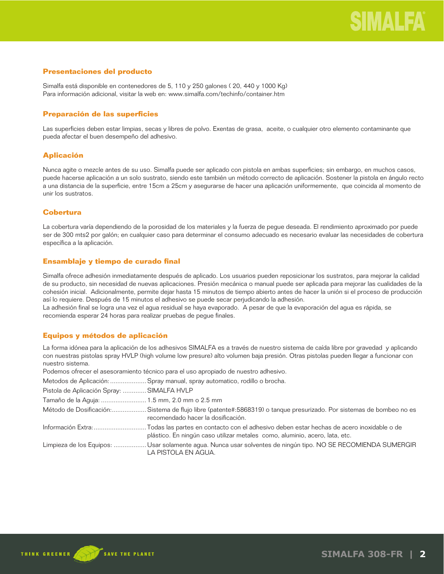## **Presentaciones del producto**

Simalfa está disponible en contenedores de 5, 110 y 250 galones ( 20, 440 y 1000 Kg) Para información adicional, visitar la web en: www.simalfa.com/techinfo/container.htm

## **Preparación de las superficies**

Las superficies deben estar limpias, secas y libres de polvo. Exentas de grasa, aceite, o cualquier otro elemento contaminante que pueda afectar el buen desempeño del adhesivo.

## **Aplicación**

Nunca agite o mezcle antes de su uso. Simalfa puede ser aplicado con pistola en ambas superficies; sin embargo, en muchos casos, puede hacerse aplicación a un solo sustrato, siendo este también un método correcto de aplicación. Sostener la pistola en ángulo recto a una distancia de la superficie, entre 15cm a 25cm y asegurarse de hacer una aplicación uniformemente, que coincida al momento de unir los sustratos.

## **Cobertura**

La cobertura varía dependiendo de la porosidad de los materiales y la fuerza de pegue deseada. El rendimiento aproximado por puede ser de 300 mts2 por galón; en cualquier caso para determinar el consumo adecuado es necesario evaluar las necesidades de cobertura específica a la aplicación.

## **Ensamblaje y tiempo de curado final**

Simalfa ofrece adhesión inmediatamente después de aplicado. Los usuarios pueden reposicionar los sustratos, para mejorar la calidad de su producto, sin necesidad de nuevas aplicaciones. Presión mecánica o manual puede ser aplicada para mejorar las cualidades de la cohesión inicial. Adicionalmente, permite dejar hasta 15 minutos de tiempo abierto antes de hacer la unión si el proceso de producción así lo requiere. Después de 15 minutos el adhesivo se puede secar perjudicando la adhesión.

La adhesión final se logra una vez el agua residual se haya evaporado. A pesar de que la evaporación del agua es rápida, se recomienda esperar 24 horas para realizar pruebas de pegue finales.

## **Equipos y métodos de aplicación**

La forma idónea para la aplicación de los adhesivos SIMALFA es a través de nuestro sistema de caída libre por gravedad y aplicando con nuestras pistolas spray HVLP (high volume low presure) alto volumen baja presión. Otras pistolas pueden llegar a funcionar con nuestro sistema.

Podemos ofrecer el asesoramiento técnico para el uso apropiado de nuestro adhesivo.

Metodos de Aplicación: ....................Spray manual, spray automatico, rodillo o brocha.

| Pistola de Aplicación Spray:  SIMALFA HVLP   |                                                                                                                                                                                           |
|----------------------------------------------|-------------------------------------------------------------------------------------------------------------------------------------------------------------------------------------------|
| Tamaño de la Aguja:  1.5 mm, 2.0 mm o 2.5 mm |                                                                                                                                                                                           |
|                                              | Método de Dosificación:Sistema de flujo libre (patente#:5868319) o tanque presurizado. Por sistemas de bombeo no es<br>recomendado hacer la dosificación.                                 |
|                                              | Información Extra:Todas las partes en contacto con el adhesivo deben estar hechas de acero inoxidable o de<br>plástico. En ningún caso utilizar metales como, aluminio, acero, lata, etc. |
|                                              | Limpieza de los Equipos: Usar solamente agua. Nunca usar solventes de ningún tipo. NO SE RECOMIENDA SUMERGIR<br>LA PISTOLA EN AGUA.                                                       |

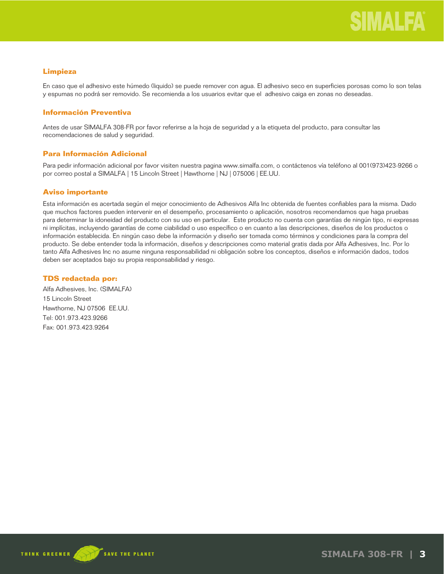## **Limpieza**

En caso que el adhesivo este húmedo (liquido) se puede remover con agua. El adhesivo seco en superficies porosas como lo son telas y espumas no podrá ser removido. Se recomienda a los usuarios evitar que el adhesivo caiga en zonas no deseadas.

## **Información Preventiva**

Antes de usar SIMALFA 308-FR por favor referirse a la hoja de seguridad y a la etiqueta del producto, para consultar las recomendaciones de salud y seguridad.

## **Para Información Adicional**

Para pedir información adicional por favor visiten nuestra pagina www.simalfa.com, o contáctenos vía teléfono al 001(973)423-9266 o por correo postal a SIMALFA | 15 Lincoln Street | Hawthorne | NJ | 075006 | EE.UU.

## **Aviso importante**

Esta información es acertada según el mejor conocimiento de Adhesivos Alfa Inc obtenida de fuentes confiables para la misma. Dado que muchos factores pueden intervenir en el desempeño, procesamiento o aplicación, nosotros recomendamos que haga pruebas para determinar la idoneidad del producto con su uso en particular. Este producto no cuenta con garantías de ningún tipo, ni expresas ni implícitas, incluyendo garantías de come ciabilidad o uso específico o en cuanto a las descripciones, diseños de los productos o información establecida. En ningún caso debe la información y diseño ser tomada como términos y condiciones para la compra del producto. Se debe entender toda la información, diseños y descripciones como material gratis dada por Alfa Adhesives, Inc. Por lo tanto Alfa Adhesives Inc no asume ninguna responsabilidad ni obligación sobre los conceptos, diseños e información dados, todos deben ser aceptados bajo su propia responsabilidad y riesgo.

## **TDS redactada por:**

Alfa Adhesives, Inc. (SIMALFA) 15 Lincoln Street Hawthorne, NJ 07506 EE.UU. Tel: 001.973.423.9266 Fax: 001.973.423.9264

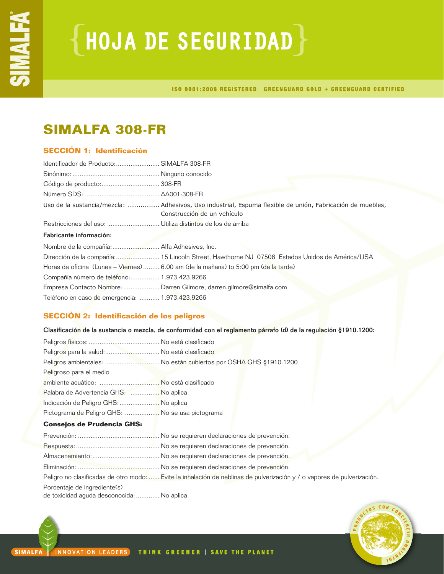# ${HoudA DE SEGURIDAD}$

ISO 9001:2008 REGISTERED | GREENGUARD GOLD + GREENGUARD CERTIFIED

## **SIMALFA 308-FR**

## **SECCIÓN 1: Identificación**

| Identificador de Producto: SIMALFA 308-FR       |                                                                                                                                          |
|-------------------------------------------------|------------------------------------------------------------------------------------------------------------------------------------------|
|                                                 |                                                                                                                                          |
|                                                 |                                                                                                                                          |
|                                                 |                                                                                                                                          |
|                                                 | Uso de la sustancia/mezcla:  Adhesivos, Uso industrial, Espuma flexible de unión, Fabricación de muebles,<br>Construcción de un vehículo |
|                                                 |                                                                                                                                          |
| Fabricante información:                         |                                                                                                                                          |
|                                                 |                                                                                                                                          |
|                                                 | Dirección de la compañía: 15 Lincoln Street, Hawthorne NJ 07506 Estados Unidos de América/USA                                            |
|                                                 | Horas de oficina (Lunes – Viernes)  6.00 am (de la mañana) to 5:00 pm (de la tarde)                                                      |
| Compañía número de teléfono: 1.973.423.9266     |                                                                                                                                          |
|                                                 | Empresa Contacto Nombre:  Darren Gilmore, darren.gilmore@simalfa.com                                                                     |
| Teléfono en caso de emergencia:  1.973.423.9266 |                                                                                                                                          |

## **SECCIÓN 2: Identificación de los peligros**

Clasificación de la sustancia o mezcla, de conformidad con el reglamento párrafo (d) de la regulación §1910.1200:

| Peligros para la salud: No está clasificado      |                                                                                                                         |
|--------------------------------------------------|-------------------------------------------------------------------------------------------------------------------------|
|                                                  | Peligros ambientales:  No están cubiertos por OSHA GHS §1910.1200                                                       |
| Peligroso para el medio                          |                                                                                                                         |
|                                                  |                                                                                                                         |
| Palabra de Advertencia GHS:  No aplica           |                                                                                                                         |
| Indicación de Peligro GHS:  No aplica            |                                                                                                                         |
| Pictograma de Peligro GHS:  No se usa pictograma |                                                                                                                         |
| <b>Consejos de Prudencia GHS:</b>                |                                                                                                                         |
|                                                  |                                                                                                                         |
|                                                  |                                                                                                                         |
|                                                  |                                                                                                                         |
|                                                  |                                                                                                                         |
|                                                  | Peligro no clasificadas de otro modo:  Evite la inhalación de neblinas de pulverización y / o vapores de pulverización. |

Porcentaje de ingrediente(s)

de toxicidad aguda desconocida:............. No aplica

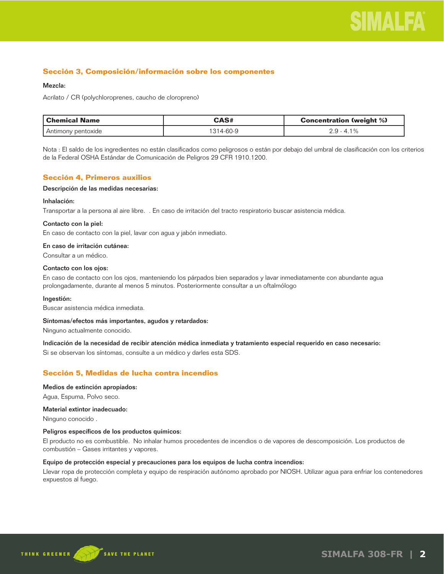

## **Sección 3, Composición/información sobre los componentes**

## Mezcla:

Acrilato / CR (polychloroprenes, caucho de cloropreno)

| l Chemical Name    | CAS#     | <b>Concentration (weight %)</b> |
|--------------------|----------|---------------------------------|
| Antimony pentoxide | 314-60-9 | 2.9 - 4.1%                      |

Nota : El saldo de los ingredientes no están clasificados como peligrosos o están por debajo del umbral de clasificación con los criterios de la Federal OSHA Estándar de Comunicación de Peligros 29 CFR 1910.1200.

## **Sección 4, Primeros auxilios**

#### Descripción de las medidas necesarias:

#### Inhalación:

Transportar a la persona al aire libre. . En caso de irritación del tracto respiratorio buscar asistencia médica.

#### Contacto con la piel:

En caso de contacto con la piel, lavar con agua y jabón inmediato.

## En caso de irritación cutánea:

Consultar a un médico.

#### Contacto con los ojos:

En caso de contacto con los ojos, manteniendo los párpados bien separados y lavar inmediatamente con abundante agua prolongadamente, durante al menos 5 minutos. Posteriormente consultar a un oftalmólogo

#### Ingestión:

Buscar asistencia médica inmediata.

#### Síntomas/efectos más importantes, agudos y retardados:

Ninguno actualmente conocido.

## Indicación de la necesidad de recibir atención médica inmediata y tratamiento especial requerido en caso necesario:

Si se observan los síntomas, consulte a un médico y darles esta SDS.

## **Sección 5, Medidas de lucha contra incendios**

#### Medios de extinción apropiados:

Agua, Espuma, Polvo seco.

#### Material extintor inadecuado:

Ninguno conocido .

#### Peligros específicos de los productos químicos:

El producto no es combustible. No inhalar humos procedentes de incendios o de vapores de descomposición. Los productos de combustión – Gases irritantes y vapores.

## Equipo de protección especial y precauciones para los equipos de lucha contra incendios:

Llevar ropa de protección completa y equipo de respiración autónomo aprobado por NIOSH. Utilizar agua para enfriar los contenedores expuestos al fuego.

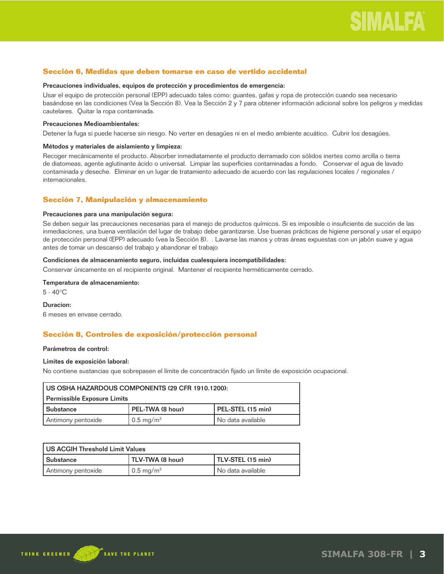## **Sección 6, Medidas que deben tomarse en caso de vertido accidental**

#### Precauciones individuales, equipos de protección y procedimientos de emergencia:

Usar el equipo de protección personal (EPP) adecuado tales como: guantes, gafas y ropa de protección cuando sea necesario basándose en las condiciones (Vea la Sección 8). Vea la Sección 2 y 7 para obtener información adicional sobre los peligros y medidas cautelares. Quitar la ropa contaminada.

#### Precauciones Medioambientales:

Detener la fuga si puede hacerse sin riesgo. No verter en desagües ni en el medio ambiente acuático. Cubrir los desagües.

#### Métodos y materiales de aislamiento y limpieza:

Recoger mecánicamente el producto. Absorber inmediatamente el producto derramado con sólidos inertes como arcilla o tierra de diatomeas, agente aglutinante ácido o universal. Limpiar las superficies contaminadas a fondo. Conservar el agua de lavado contaminada y deseche. Eliminar en un lugar de tratamiento adecuado de acuerdo con las regulaciones locales / regionales / internacionales.

## **Sección 7, Manipulación y almacenamiento**

#### Precauciones para una manipulación segura:

Se deben seguir las precauciones necesarias para el manejo de productos químicos. Si es imposible o insuficiente de succión de las inmediaciones, una buena ventilación del lugar de trabajo debe garantizarse. Use buenas prácticas de higiene personal y usar el equipo de protección personal (EPP) adecuado (vea la Sección 8). . Lavarse las manos y otras áreas expuestas con un jabón suave y agua antes de tomar un descanso del trabajo y abandonar el trabajo

## Condiciones de almacenamiento seguro, incluidas cualesquiera incompatibilidades:

Conservar únicamente en el recipiente original. Mantener el recipiente herméticamente cerrado.

## Temperatura de almacenamiento:

5 - 40°C

#### Duracion:

6 meses en envase cerrado.

## **Sección 8, Controles de exposición/protección personal**

#### Parámetros de control:

#### Límites de exposición laboral:

No contiene sustancias que sobrepasen el límite de concentración fijado un límite de exposición ocupacional.

| US OSHA HAZARDOUS COMPONENTS (29 CFR 1910.1200):          |                      |                     |
|-----------------------------------------------------------|----------------------|---------------------|
| Permissible Exposure Limits                               |                      |                     |
| PEL-TWA (8 hour)<br>PEL-STEL (15 min)<br><b>Substance</b> |                      |                     |
| Antimony pentoxide                                        | $0.5 \text{ mg/m}^3$ | l No data available |

| US ACGIH Threshold Limit Values |                       |                     |
|---------------------------------|-----------------------|---------------------|
| l Substance                     | TLV-TWA (8 hour)      | TLV-STEL (15 min)   |
| Antimony pentoxide              | 0.5 mg/m <sup>3</sup> | I No data available |

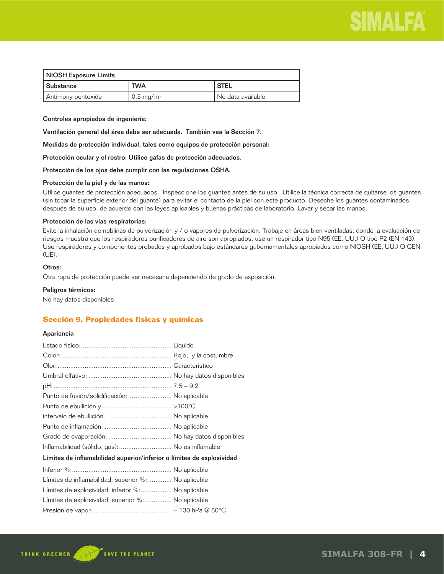

| NIOSH Exposure Limits |                      |                   |
|-----------------------|----------------------|-------------------|
| l Substance           | <b>TWA</b>           | <b>I STEL</b>     |
| Antimony pentoxide    | $0.5 \text{ mg/m}^3$ | No data available |

Controles apropiados de ingeniería:

Ventilación general del área debe ser adecuada. También vea la Sección 7.

Medidas de protección individual, tales como equipos de protección personal:

Protección ocular y el rostro: Utilice gafas de protección adecuados.

Protección de los ojos debe cumplir con las regulaciones OSHA.

#### Protección de la piel y de las manos:

Utilice guantes de protección adecuados. Inspeccione los guantes antes de su uso. Utilice la técnica correcta de quitarse los guantes (sin tocar la superficie exterior del guante) para evitar el contacto de la piel con este producto. Deseche los guantes contaminados después de su uso, de acuerdo con las leyes aplicables y buenas prácticas de laboratorio. Lavar y secar las manos.

#### Protección de las vías respiratorias:

Evite la inhalación de neblinas de pulverización y / o vapores de pulverización. Trabaje en áreas bien ventiladas, donde la evaluación de riesgos muestra que los respiradores purificadores de aire son apropiados, use un respirador tipo N95 (EE. UU.) O tipo P2 (EN 143). Use respiradores y componentes probados y aprobados bajo estándares gubernamentales apropiados como NIOSH (EE. UU.) O CEN (UE).

## Otros:

Otra ropa de protección puede ser necesaria dependiendo de grado de exposición.

#### Peligros térmicos:

No hay datos disponibles

## **Sección 9, Propiedades físicas y químicas**

## Apariencia

| Punto de fusión/solidificación:  No aplicable                         |  |
|-----------------------------------------------------------------------|--|
|                                                                       |  |
|                                                                       |  |
|                                                                       |  |
|                                                                       |  |
| Inflamabilidad (sólido, gas):  No es inflamable                       |  |
| Límites de inflamabilidad superior/inferior o límites de explosividad |  |
|                                                                       |  |
| Límites de inflamabilidad: superior %:  No aplicable                  |  |
| Límites de explosividad: inferior %: No aplicable                     |  |
| Límites de explosividad: superior %: No aplicable                     |  |
|                                                                       |  |

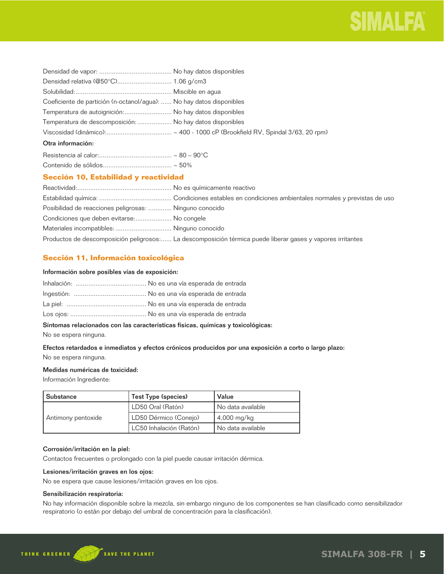

| Coeficiente de partición (n-octanol/agua):  No hay datos disponibles |  |
|----------------------------------------------------------------------|--|
| Temperatura de autoignición: No hay datos disponibles                |  |
| Temperatura de descomposición:  No hay datos disponibles             |  |
|                                                                      |  |
| Otra información:                                                    |  |
|                                                                      |  |

## **Sección 10, Estabilidad y reactividad**

| Posibilidad de reacciones peligrosas:  Ninguno conocido |                                                                                                            |
|---------------------------------------------------------|------------------------------------------------------------------------------------------------------------|
| Condiciones que deben evitarse: No congele              |                                                                                                            |
| Materiales incompatibles:  Ninguno conocido             |                                                                                                            |
|                                                         | Productos de descomposición peligrosos: La descomposición térmica puede liberar gases y vapores irritantes |

## **Sección 11, Información toxicológica**

## Información sobre posibles vías de exposición:

## Síntomas relacionados con las características físicas, químicas y toxicológicas:

No se espera ninguna.

## Efectos retardados e inmediatos y efectos crónicos producidos por una exposición a corto o largo plazo: No se espera ninguna.

## Medidas numéricas de toxicidad:

Información Ingrediente:

| l Substance        | Test Type (species)     | Value                    |  |
|--------------------|-------------------------|--------------------------|--|
|                    | LD50 Oral (Ratón)       | No data available        |  |
| Antimony pentoxide | LD50 Dérmico (Conejo)   | $\frac{14,000}{1}$ mg/kg |  |
|                    | LC50 Inhalación (Ratón) | I No data available      |  |

## Corrosión/irritación en la piel:

Contactos frecuentes o prolongado con la piel puede causar irritación dérmica.

## Lesiones/irritación graves en los ojos:

No se espera que cause lesiones/irritación graves en los ojos.

## Sensibilización respiratoria:

No hay información disponible sobre la mezcla, sin embargo ninguno de los componentes se han clasificado como sensibilizador respiratorio (o están por debajo del umbral de concentración para la clasificación).

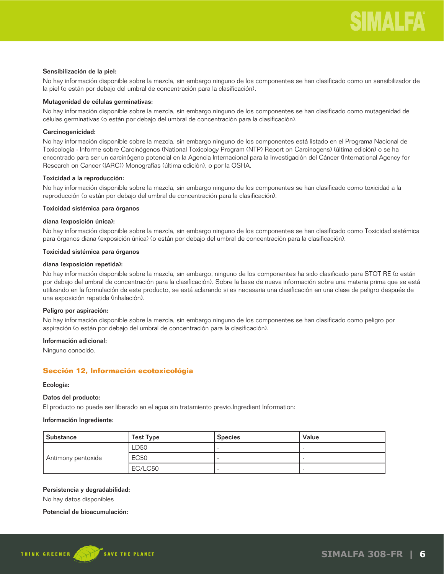#### Sensibilización de la piel:

No hay información disponible sobre la mezcla, sin embargo ninguno de los componentes se han clasificado como un sensibilizador de la piel (o están por debajo del umbral de concentración para la clasificación).

## Mutagenidad de células germinativas:

No hay información disponible sobre la mezcla, sin embargo ninguno de los componentes se han clasificado como mutagenidad de células germinativas (o están por debajo del umbral de concentración para la clasificación).

## Carcinogenicidad:

No hay información disponible sobre la mezcla, sin embargo ninguno de los componentes está listado en el Programa Nacional de Toxicología - Informe sobre Carcinógenos (National Toxicology Program (NTP) Report on Carcinogens) (última edición) o se ha encontrado para ser un carcinógeno potencial en la Agencia Internacional para la Investigación del Cáncer (International Agency for Research on Cancer (IARC)) Monografías (última edición), o por la OSHA.

## Toxicidad a la reproducción:

No hay información disponible sobre la mezcla, sin embargo ninguno de los componentes se han clasificado como toxicidad a la reproducción (o están por debajo del umbral de concentración para la clasificación).

## Toxicidad sistémica para órganos

## diana (exposición única):

No hay información disponible sobre la mezcla, sin embargo ninguno de los componentes se han clasificado como Toxicidad sistémica para órganos diana (exposición única) (o están por debajo del umbral de concentración para la clasificación).

## Toxicidad sistémica para órganos

## diana (exposición repetida):

No hay información disponible sobre la mezcla, sin embargo, ninguno de los componentes ha sido clasificado para STOT RE (o están por debajo del umbral de concentración para la clasificación). Sobre la base de nueva información sobre una materia prima que se está utilizando en la formulación de este producto, se está aclarando si es necesaria una clasificación en una clase de peligro después de una exposición repetida (inhalación).

#### Peligro por aspiración:

No hay información disponible sobre la mezcla, sin embargo ninguno de los componentes se han clasificado como peligro por aspiración (o están por debajo del umbral de concentración para la clasificación).

## Información adicional:

Ninguno conocido.

## **Sección 12, Información ecotoxicológia**

#### Ecología:

#### Datos del producto:

El producto no puede ser liberado en el agua sin tratamiento previo.Ingredient Information:

#### Información Ingrediente:

| Substance          | <b>Test Type</b> | <b>Species</b> | Value |
|--------------------|------------------|----------------|-------|
| Antimony pentoxide | LD50             |                |       |
|                    | <b>EC50</b>      |                |       |
|                    | EC/LC50          |                |       |

## Persistencia y degradabilidad:

No hay datos disponibles

### Potencial de bioacumulación:

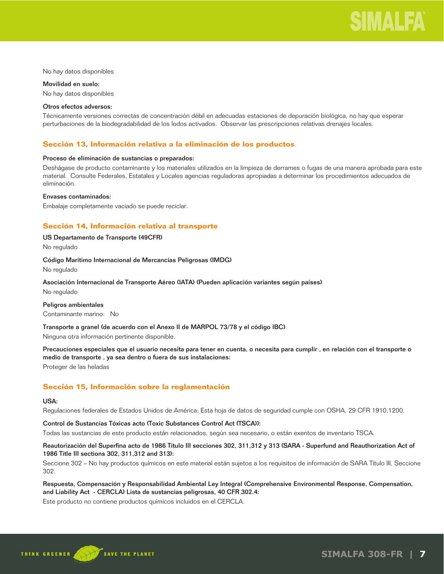

No hay datos disponibles

Movilidad en suelo: No hay datos disponibles

#### Otros efectos adversos:

Técnicamente versiones correctas de concentración débil en adecuadas estaciones de depuración biológica, no hay que esperar perturbaciones de la biodegradabilidad de los lodos activados. Observar las prescripciones relativas drenajes locales.

## **Sección 13, Información relativa a la eliminación de los productos**

#### Proceso de eliminación de sustancias o preparados:

Deshágase de producto contaminante y los materiales utilizados en la limpieza de derrames o fugas de una manera aprobada para este material. Consulte Federales, Estatales y Locales agencias reguladoras apropiadas a determinar los procedimientos adecuados de eliminación.

#### Envases contaminados:

Embalaje completamente vaciado se puede reciclar.

## **Sección 14, Información relativa al transporte**

## US Departamento de Transporte (49CFR)

No regulado

#### Código Marítimo Internacional de Mercancías Peligrosas (IMDG)

No regulado

## Asociación Internacional de Transporte Aéreo (IATA) (Pueden aplicación variantes según países)

No regulado

#### Peligros ambientales

Contaminante marino: No

Transporte a granel (de acuerdo con el Anexo II de MARPOL 73/78 y el código IBC)

Ninguna otra información pertinente disponible.

Precauciones especiales que el usuario necesita para tener en cuenta, o necesita para cumplir , en relación con el transporte o medio de transporte , ya sea dentro o fuera de sus instalaciones: Proteger de las heladas

## **Sección 15, Información sobre la reglamentación**

#### USA:

Regulaciones federales de Estados Unidos de América: Esta hoja de datos de seguridad cumple con OSHA, 29 CFR 1910.1200.

## Control de Sustancias Tóxicas acto (Toxic Substances Control Act (TSCA)):

Todas las sustancias de este producto están relacionados, según sea necesario, o están exentos de inventario TSCA.

## Reautorización del Superfina acto de 1986 Título III secciones 302, 311,312 y 313 (SARA - Superfund and Reauthorization Act of 1986 Title III sections 302, 311,312 and 313):

Seccione 302 – No hay productos químicos en este material están sujetos a los requisitos de información de SARA Título III, Seccione 302.

## Respuesta, Compensación y Responsabilidad Ambiental Ley Integral (Comprehensive Environmental Response, Compensation, and Liability Act - CERCLA) Lista de sustancias peligrosas, 40 CFR 302.4:

Este producto no contiene productos químicos incluidos en el CERCLA.